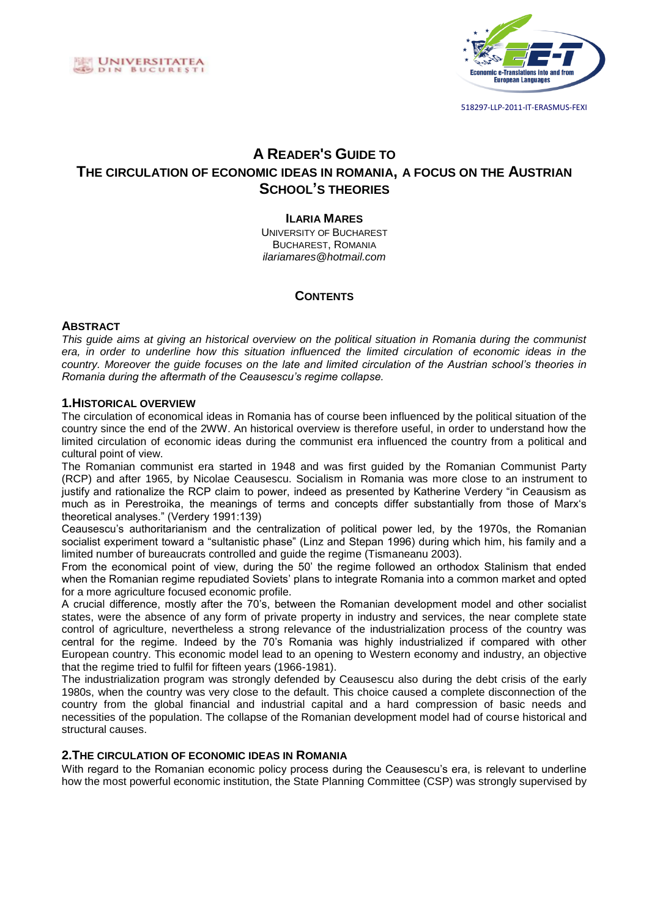



# **A READER'S GUIDE TO THE CIRCULATION OF ECONOMIC IDEAS IN ROMANIA, A FOCUS ON THE AUSTRIAN SCHOOL'S THEORIES**

## **ILARIA MARES**

UNIVERSITY OF BUCHAREST BUCHAREST, ROMANIA *ilariamares@hotmail.com*

# **CONTENTS**

#### **ABSTRACT**

*This guide aims at giving an historical overview on the political situation in Romania during the communist era, in order to underline how this situation influenced the limited circulation of economic ideas in the country. Moreover the guide focuses on the late and limited circulation of the Austrian school's theories in Romania during the aftermath of the Ceausescu's regime collapse.* 

#### **1.HISTORICAL OVERVIEW**

The circulation of economical ideas in Romania has of course been influenced by the political situation of the country since the end of the 2WW. An historical overview is therefore useful, in order to understand how the limited circulation of economic ideas during the communist era influenced the country from a political and cultural point of view.

The Romanian communist era started in 1948 and was first guided by the Romanian Communist Party (RCP) and after 1965, by Nicolae Ceausescu. Socialism in Romania was more close to an instrument to justify and rationalize the RCP claim to power, indeed as presented by Katherine Verdery "in Ceausism as much as in Perestroika, the meanings of terms and concepts differ substantially from those of Marx's theoretical analyses." (Verdery 1991:139)

Ceausescu's authoritarianism and the centralization of political power led, by the 1970s, the Romanian socialist experiment toward a "sultanistic phase" (Linz and Stepan 1996) during which him, his family and a limited number of bureaucrats controlled and guide the regime (Tismaneanu 2003).

From the economical point of view, during the 50' the regime followed an orthodox Stalinism that ended when the Romanian regime repudiated Soviets' plans to integrate Romania into a common market and opted for a more agriculture focused economic profile.

A crucial difference, mostly after the 70's, between the Romanian development model and other socialist states, were the absence of any form of private property in industry and services, the near complete state control of agriculture, nevertheless a strong relevance of the industrialization process of the country was central for the regime. Indeed by the 70's Romania was highly industrialized if compared with other European country. This economic model lead to an opening to Western economy and industry, an objective that the regime tried to fulfil for fifteen years (1966-1981).

The industrialization program was strongly defended by Ceausescu also during the debt crisis of the early 1980s, when the country was very close to the default. This choice caused a complete disconnection of the country from the global financial and industrial capital and a hard compression of basic needs and necessities of the population. The collapse of the Romanian development model had of course historical and structural causes.

# **2.THE CIRCULATION OF ECONOMIC IDEAS IN ROMANIA**

With regard to the Romanian economic policy process during the Ceausescu's era, is relevant to underline how the most powerful economic institution, the State Planning Committee (CSP) was strongly supervised by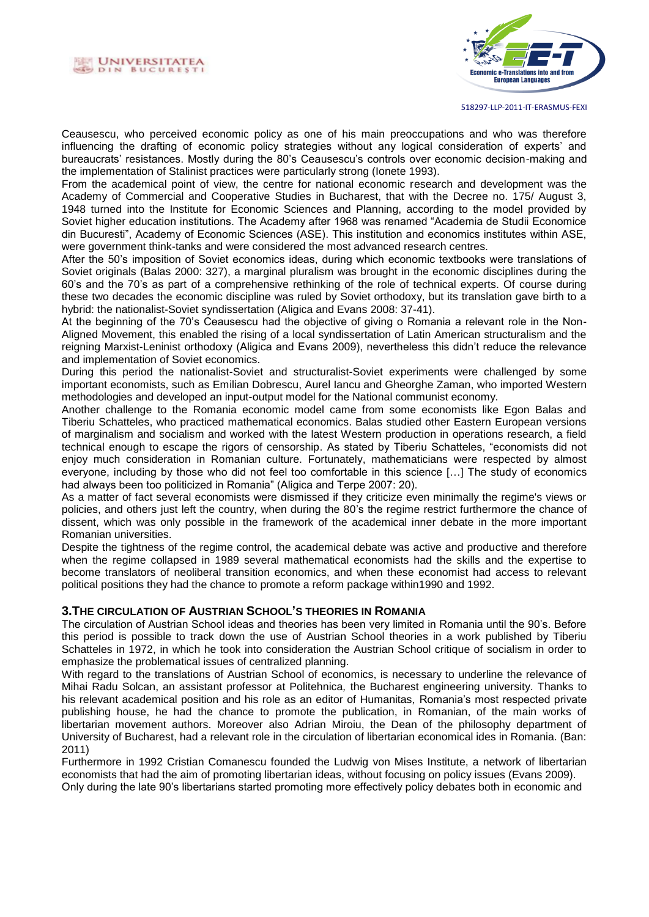



518297-LLP-2011-IT-ERASMUS-FEXI

Ceausescu, who perceived economic policy as one of his main preoccupations and who was therefore influencing the drafting of economic policy strategies without any logical consideration of experts' and bureaucrats' resistances. Mostly during the 80's Ceausescu's controls over economic decision-making and the implementation of Stalinist practices were particularly strong (Ionete 1993).

From the academical point of view, the centre for national economic research and development was the Academy of Commercial and Cooperative Studies in Bucharest, that with the Decree no. 175/ August 3, 1948 turned into the Institute for Economic Sciences and Planning, according to the model provided by Soviet higher education institutions. The Academy after 1968 was renamed "Academia de Studii Economice din Bucuresti", Academy of Economic Sciences (ASE). This institution and economics institutes within ASE, were government think-tanks and were considered the most advanced research centres.

After the 50's imposition of Soviet economics ideas, during which economic textbooks were translations of Soviet originals (Balas 2000: 327), a marginal pluralism was brought in the economic disciplines during the 60's and the 70's as part of a comprehensive rethinking of the role of technical experts. Of course during these two decades the economic discipline was ruled by Soviet orthodoxy, but its translation gave birth to a hybrid: the nationalist-Soviet syndissertation (Aligica and Evans 2008: 37-41).

At the beginning of the 70's Ceausescu had the objective of giving o Romania a relevant role in the Non-Aligned Movement, this enabled the rising of a local syndissertation of Latin American structuralism and the reigning Marxist-Leninist orthodoxy (Aligica and Evans 2009), nevertheless this didn't reduce the relevance and implementation of Soviet economics.

During this period the nationalist-Soviet and structuralist-Soviet experiments were challenged by some important economists, such as Emilian Dobrescu, Aurel Iancu and Gheorghe Zaman, who imported Western methodologies and developed an input-output model for the National communist economy.

Another challenge to the Romania economic model came from some economists like Egon Balas and Tiberiu Schatteles, who practiced mathematical economics. Balas studied other Eastern European versions of marginalism and socialism and worked with the latest Western production in operations research, a field technical enough to escape the rigors of censorship. As stated by Tiberiu Schatteles, "economists did not enjoy much consideration in Romanian culture. Fortunately, mathematicians were respected by almost everyone, including by those who did not feel too comfortable in this science […] The study of economics had always been too politicized in Romania" (Aligica and Terpe 2007: 20).

As a matter of fact several economists were dismissed if they criticize even minimally the regime's views or policies, and others just left the country, when during the 80's the regime restrict furthermore the chance of dissent, which was only possible in the framework of the academical inner debate in the more important Romanian universities.

Despite the tightness of the regime control, the academical debate was active and productive and therefore when the regime collapsed in 1989 several mathematical economists had the skills and the expertise to become translators of neoliberal transition economics, and when these economist had access to relevant political positions they had the chance to promote a reform package within1990 and 1992.

### **3.THE CIRCULATION OF AUSTRIAN SCHOOL'S THEORIES IN ROMANIA**

The circulation of Austrian School ideas and theories has been very limited in Romania until the 90's. Before this period is possible to track down the use of Austrian School theories in a work published by Tiberiu Schatteles in 1972, in which he took into consideration the Austrian School critique of socialism in order to emphasize the problematical issues of centralized planning.

With regard to the translations of Austrian School of economics, is necessary to underline the relevance of Mihai Radu Solcan, an assistant professor at Politehnica*,* the Bucharest engineering university. Thanks to his relevant academical position and his role as an editor of Humanitas*,* Romania's most respected private publishing house, he had the chance to promote the publication, in Romanian, of the main works of libertarian movement authors. Moreover also Adrian Miroiu, the Dean of the philosophy department of University of Bucharest, had a relevant role in the circulation of libertarian economical ides in Romania. (Ban: 2011)

Furthermore in 1992 Cristian Comanescu founded the Ludwig von Mises Institute, a network of libertarian economists that had the aim of promoting libertarian ideas, without focusing on policy issues (Evans 2009). Only during the late 90's libertarians started promoting more effectively policy debates both in economic and